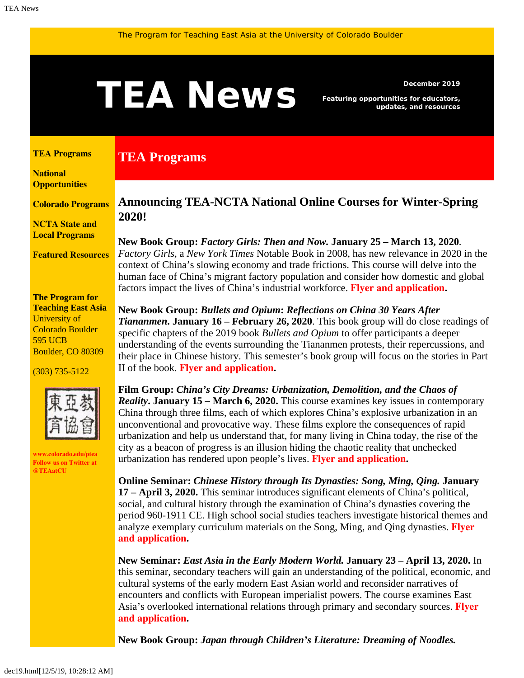# <span id="page-0-1"></span>**TEAN BUS** Featuring opportunities for educators,

**TEA Programs**

*Featuring opportunities for educators, updates, and resources*

#### <span id="page-0-0"></span>**[TEA Programs](#page-0-0)**

**[National](#page-0-1)  [Opportunities](#page-0-1)**

**[Colorado Programs](#page-2-0)**

**[NCTA State and](#page-2-1) [Local Programs](#page-2-1)**

**[Featured Resources](#page-3-0)**

**The Program for Teaching East Asia** University of Colorado Boulder 595 UCB Boulder, CO 80309

(303) 735-5122



**[www.colorado.edu/ptea](http://www.colorado.edu/cas/tea) Follow us on Twitter at [@TEAatCU](https://twitter.com/TEAatCU)**

#### **Announcing TEA-NCTA National Online Courses for Winter-Spring 2020!**

**New Book Group:** *Factory Girls: Then and Now.* **January 25 – March 13, 2020***. Factory Girls,* a *New York Times* Notable Book in 2008, has new relevance in 2020 in the context of China's slowing economy and trade frictions. This course will delve into the human face of China's migrant factory population and consider how domestic and global factors impact the lives of China's industrial workforce. **Flyer [and application](https://www.colorado.edu/ptea/sites/default/files/attached-files/factorygirls.pdf).**

**New Book Group:** *Bullets and Opium***:** *Reflections on China 30 Years After Tiananmen***. January 16 – February 26, 2020**. This book group will do close readings of specific chapters of the 2019 book *Bullets and Opium* to offer participants a deeper understanding of the events surrounding the Tiananmen protests, their repercussions, and their place in Chinese history. This semester's book group will focus on the stories in Part II of the book. **[Flyer and application](https://www.colorado.edu/ptea/sites/default/files/attached-files/bulletsopiumwinter2020.pdf).**

**Film Group:** *China's City Dreams: Urbanization, Demolition, and the Chaos of Reality***. January 15 – March 6, 2020.** This course examines key issues in contemporary China through three films, each of which explores China's explosive urbanization in an unconventional and provocative way. These films explore the consequences of rapid urbanization and help us understand that, for many living in China today, the rise of the city as a beacon of progress is an illusion hiding the chaotic reality that unchecked urbanization has rendered upon people's lives. **[Flyer and application](https://www.colorado.edu/ptea/sites/default/files/attached-files/chinacitydreams2020.pdf).**

**Online Seminar:** *Chinese History through Its Dynasties: Song, Ming, Qing.* **January 17 – April 3, 2020.** This seminar introduces significant elements of China's political, social, and cultural history through the examination of China's dynasties covering the period 960-1911 CE. High school social studies teachers investigate historical themes and analyze exemplary curriculum materials on the Song, Ming, and Qing dynasties. **[Flyer](https://www.colorado.edu/ptea/sites/default/files/attached-files/chinadynasties_flyer_winter2020.pdf) [and application](https://www.colorado.edu/ptea/sites/default/files/attached-files/chinadynasties_flyer_winter2020.pdf).**

**New Seminar:** *East Asia in the Early Modern World.* **January 23 – April 13, 2020.** In this seminar, secondary teachers will gain an understanding of the political, economic, and cultural systems of the early modern East Asian world and reconsider narratives of encounters and conflicts with European imperialist powers. The course examines East Asia's overlooked international relations through primary and secondary sources. **[Flyer](https://www.colorado.edu/ptea/sites/default/files/attached-files/emeacourseflyer.pdf) [and application](https://www.colorado.edu/ptea/sites/default/files/attached-files/emeacourseflyer.pdf).**

**New Book Group:** *Japan through Children's Literature: Dreaming of Noodles.*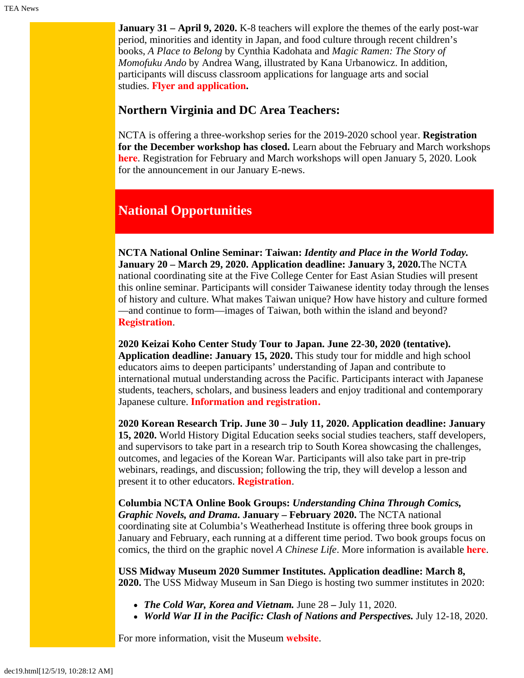**January 31 – April 9, 2020.** K-8 teachers will explore the themes of the early post-war period, minorities and identity in Japan, and food culture through recent children's books, *A Place to Belong* by Cynthia Kadohata and *Magic Ramen: The Story of Momofuku Ando* by Andrea Wang, illustrated by Kana Urbanowicz. In addition, participants will discuss classroom applications for language arts and social studies. **Flyer [and application](https://www.colorado.edu/ptea/sites/default/files/attached-files/ws2020jpkidlitbgflyer.pdf).**

#### **Northern Virginia and DC Area Teachers:**

NCTA is offering a three-workshop series for the 2019-2020 school year. **Registration for the December workshop has closed.** Learn about the February and March workshops **[here](https://www.colorado.edu/ptea/sites/default/files/attached-files/nova_flyer_2019_2020.pdf)**. Registration for February and March workshops will open January 5, 2020. Look for the announcement in our January E-news.

### **National Opportunities**

**NCTA National Online Seminar: Taiwan:** *Identity and Place in the World Today.* **January 20 – March 29, 2020. Application deadline: January 3, 2020.**The NCTA national coordinating site at the Five College Center for East Asian Studies will present this online seminar. Participants will consider Taiwanese identity today through the lenses of history and culture. What makes Taiwan unique? How have history and culture formed —and continue to form—images of Taiwan, both within the island and beyond? **[Registration](https://www.fivecolleges.edu/fcceas/ncta/2020-national-online-taiwan)**.

**2020 Keizai Koho Center Study Tour to Japan. June 22-30, 2020 (tentative). Application deadline: January 15, 2020.** This study tour for middle and high school educators aims to deepen participants' understanding of Japan and contribute to international mutual understanding across the Pacific. Participants interact with Japanese students, teachers, scholars, and business leaders and enjoy traditional and contemporary Japanese culture. **[Information and registration.](http://www.us-japan.org/programs/kkc)**

**2020 Korean Research Trip. June 30 – July 11, 2020. Application deadline: January 15, 2020.** World History Digital Education seeks social studies teachers, staff developers, and supervisors to take part in a research trip to South Korea showcasing the challenges, outcomes, and legacies of the Korean War. Participants will also take part in pre-trip webinars, readings, and discussion; following the trip, they will develop a lesson and present it to other educators. **[Registration](http://www.worldhistoryde.org/korea-trip)**.

**Columbia NCTA Online Book Groups:** *Understanding China Through Comics, Graphic Novels, and Drama***. January – February 2020.** The NCTA national coordinating site at Columbia's Weatherhead Institute is offering three book groups in January and February, each running at a different time period. Two book groups focus on comics, the third on the graphic novel *A Chinese Life*. More information is available **[here](http://afe.easia.columbia.edu/announcements/2019/BookGroupsFall19.html)**.

**USS Midway Museum 2020 Summer Institutes. Application deadline: March 8, 2020.** The USS Midway Museum in San Diego is hosting two summer institutes in 2020:

- *The Cold War, Korea and Vietnam.* June 28 July 11, 2020.
- *World War II in the Pacific: Clash of Nations and Perspectives.* July 12-18, 2020.

For more information, visit the Museum **[website](https://www.midway.org/education/teacher-programs/midway-institute-for-teachers/)**.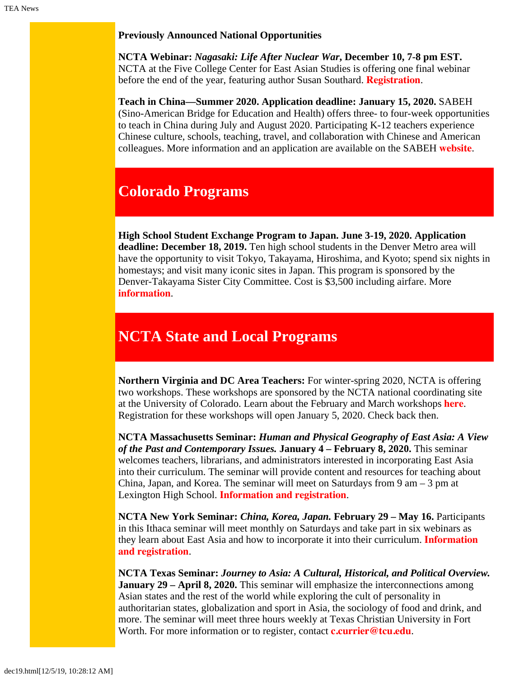#### **Previously Announced National Opportunities**

**NCTA Webinar:** *Nagasaki: Life After Nuclear War***, December 10, 7-8 pm EST.** NCTA at the Five College Center for East Asian Studies is offering one final webinar before the end of the year, featuring author Susan Southard. **[Registration](https://register.gotowebinar.com/register/7917711176098218754)**.

**Teach in China—Summer 2020. Application deadline: January 15, 2020.** SABEH (Sino-American Bridge for Education and Health) offers three- to four-week opportunities to teach in China during July and August 2020. Participating K-12 teachers experience Chinese culture, schools, teaching, travel, and collaboration with Chinese and American colleagues. More information and an application are available on the SABEH **[website](https://www.sabeh.org/teach-in-china)**.

## <span id="page-2-0"></span>**Colorado Programs**

**High School Student Exchange Program to Japan. June 3-19, 2020. Application deadline: December 18, 2019.** Ten high school students in the Denver Metro area will have the opportunity to visit Tokyo, Takayama, Hiroshima, and Kyoto; spend six nights in homestays; and visit many iconic sites in Japan. This program is sponsored by the Denver-Takayama Sister City Committee. Cost is \$3,500 including airfare. More **[information](https://www.denversistercities.org/takayama/2020s2j/)**.

# <span id="page-2-1"></span>**NCTA State and Local Programs**

**Northern Virginia and DC Area Teachers:** For winter-spring 2020, NCTA is offering two workshops. These workshops are sponsored by the NCTA national coordinating site at the University of Colorado. Learn about the February and March workshops **[here](https://www.colorado.edu/ptea/sites/default/files/attached-files/nova_flyer_2019_2020.pdf)**. Registration for these workshops will open January 5, 2020. Check back then.

**NCTA Massachusetts Seminar:** *Human and Physical Geography of East Asia: A View of the Past and Contemporary Issues.* **January 4 – February 8, 2020.** This seminar welcomes teachers, librarians, and administrators interested in incorporating East Asia into their curriculum. The seminar will provide content and resources for teaching about China, Japan, and Korea. The seminar will meet on Saturdays from  $9 \text{ am} - 3 \text{ pm at}$ Lexington High School. **[Information and registration](https://www.fivecolleges.edu/fcceas/ncta/ncta_in_massachusetts/2020-Lexington-MA)**.

**NCTA New York Seminar:** *China, Korea, Japan.* **February 29 – May 16.** Participants in this Ithaca seminar will meet monthly on Saturdays and take part in six webinars as they learn about East Asia and how to incorporate it into their curriculum. **[Information](https://www.fivecolleges.edu/fcceas/ncta/ncta_new_york/2020-ithaca-seminar) [and registration](https://www.fivecolleges.edu/fcceas/ncta/ncta_new_york/2020-ithaca-seminar)**.

**NCTA Texas Seminar:** *Journey to Asia: A Cultural, Historical, and Political Overview.* **January 29 – April 8, 2020.** This seminar will emphasize the interconnections among Asian states and the rest of the world while exploring the cult of personality in authoritarian states, globalization and sport in Asia, the sociology of food and drink, and more. The seminar will meet three hours weekly at Texas Christian University in Fort Worth. For more information or to register, contact **[c.currier@tcu.edu](mailto:c.currier@tcu.edu)**.